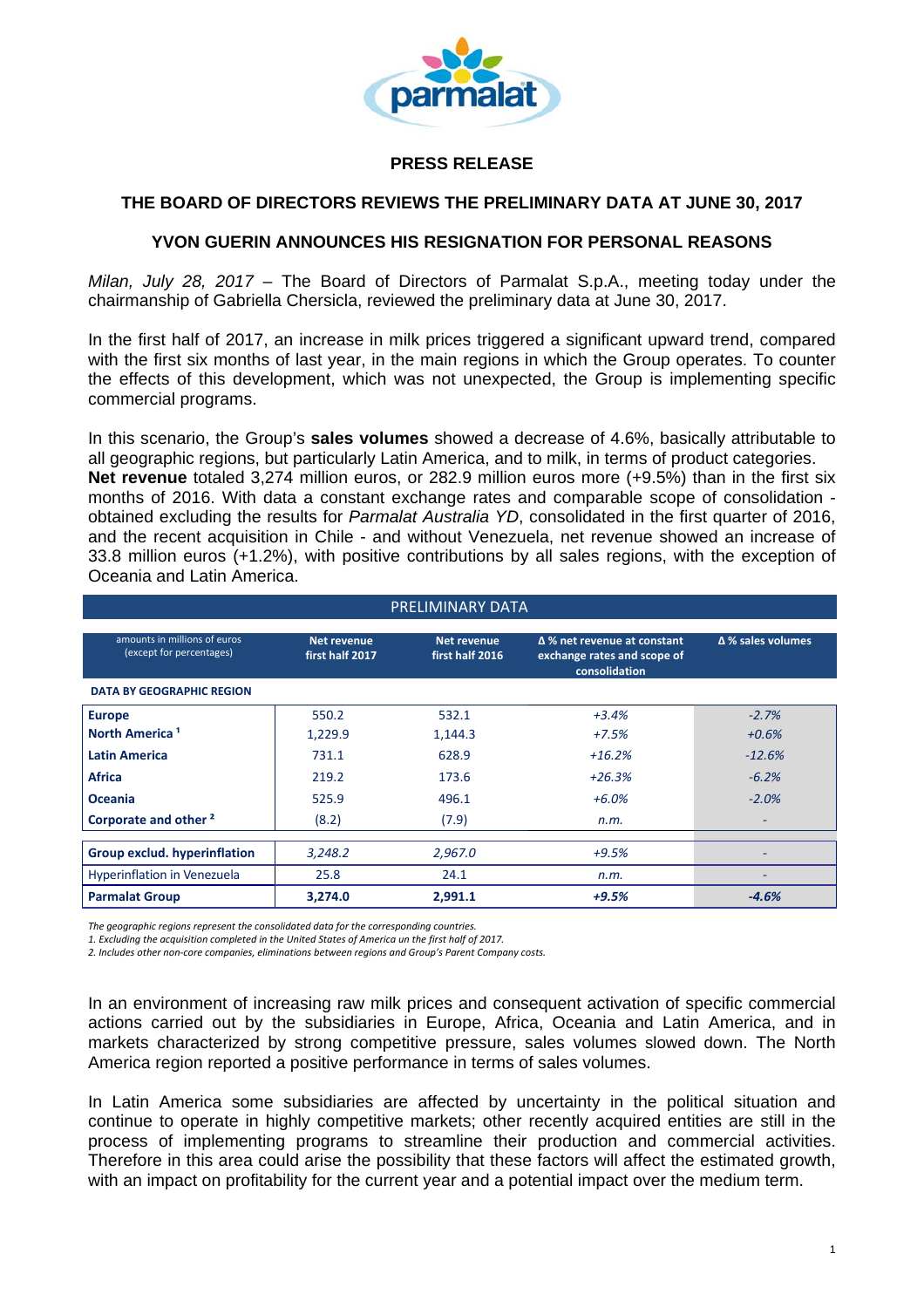

## **PRESS RELEASE**

## **THE BOARD OF DIRECTORS REVIEWS THE PRELIMINARY DATA AT JUNE 30, 2017**

## **YVON GUERIN ANNOUNCES HIS RESIGNATION FOR PERSONAL REASONS**

*Milan, July 28, 2017* – The Board of Directors of Parmalat S.p.A., meeting today under the chairmanship of Gabriella Chersicla, reviewed the preliminary data at June 30, 2017.

In the first half of 2017, an increase in milk prices triggered a significant upward trend, compared with the first six months of last year, in the main regions in which the Group operates. To counter the effects of this development, which was not unexpected, the Group is implementing specific commercial programs.

In this scenario, the Group's **sales volumes** showed a decrease of 4.6%, basically attributable to all geographic regions, but particularly Latin America, and to milk, in terms of product categories. **Net revenue** totaled 3,274 million euros, or 282.9 million euros more (+9.5%) than in the first six months of 2016. With data a constant exchange rates and comparable scope of consolidation obtained excluding the results for *Parmalat Australia YD*, consolidated in the first quarter of 2016, and the recent acquisition in Chile - and without Venezuela, net revenue showed an increase of 33.8 million euros (+1.2%), with positive contributions by all sales regions, with the exception of Oceania and Latin America.

| PRELIMINARY DATA                                         |                                       |                                       |                                                                             |                   |
|----------------------------------------------------------|---------------------------------------|---------------------------------------|-----------------------------------------------------------------------------|-------------------|
| amounts in millions of euros<br>(except for percentages) | <b>Net revenue</b><br>first half 2017 | <b>Net revenue</b><br>first half 2016 | Δ % net revenue at constant<br>exchange rates and scope of<br>consolidation | Δ % sales volumes |
| <b>DATA BY GEOGRAPHIC REGION</b>                         |                                       |                                       |                                                                             |                   |
| <b>Europe</b>                                            | 550.2                                 | 532.1                                 | $+3.4%$                                                                     | $-2.7%$           |
| North America <sup>1</sup>                               | 1,229.9                               | 1,144.3                               | $+7.5%$                                                                     | $+0.6%$           |
| <b>Latin America</b>                                     | 731.1                                 | 628.9                                 | $+16.2%$                                                                    | $-12.6%$          |
| <b>Africa</b>                                            | 219.2                                 | 173.6                                 | $+26.3%$                                                                    | $-6.2%$           |
| <b>Oceania</b>                                           | 525.9                                 | 496.1                                 | $+6.0%$                                                                     | $-2.0%$           |
| Corporate and other <sup>2</sup>                         | (8.2)                                 | (7.9)                                 | n.m.                                                                        |                   |
| <b>Group exclud. hyperinflation</b>                      | 3,248.2                               | 2,967.0                               | $+9.5%$                                                                     |                   |
| Hyperinflation in Venezuela                              | 25.8                                  | 24.1                                  | n.m.                                                                        | -                 |
| <b>Parmalat Group</b>                                    | 3,274.0                               | 2,991.1                               | $+9.5%$                                                                     | $-4.6%$           |

*The geographic regions represent the consolidated data for the corresponding countries.*

*1. Excluding the acquisition completed in the United States of America un the first half of 2017.*

*2. Includes other non‐core companies, eliminations between regions and Group's Parent Company costs.*

In an environment of increasing raw milk prices and consequent activation of specific commercial actions carried out by the subsidiaries in Europe, Africa, Oceania and Latin America, and in markets characterized by strong competitive pressure, sales volumes slowed down. The North America region reported a positive performance in terms of sales volumes.

In Latin America some subsidiaries are affected by uncertainty in the political situation and continue to operate in highly competitive markets; other recently acquired entities are still in the process of implementing programs to streamline their production and commercial activities. Therefore in this area could arise the possibility that these factors will affect the estimated growth, with an impact on profitability for the current year and a potential impact over the medium term.